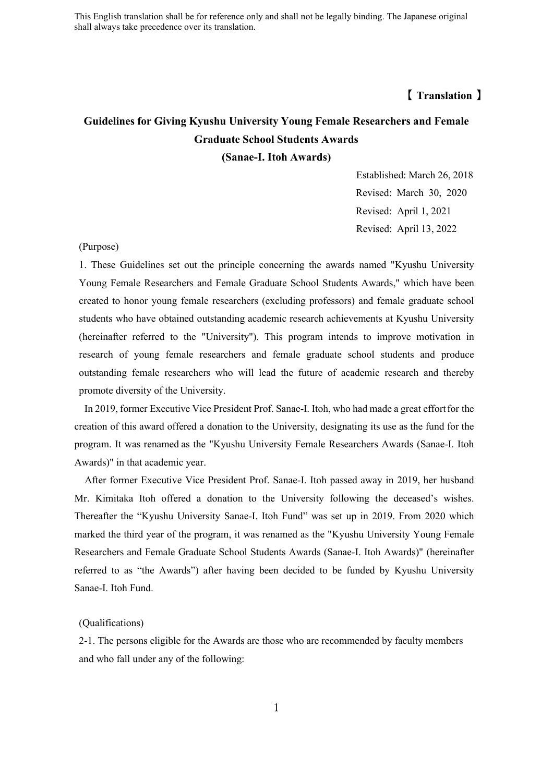# **【 Translation 】**

# **Guidelines for Giving Kyushu University Young Female Researchers and Female Graduate School Students Awards (Sanae-I. Itoh Awards)**

Established: March 26, 2018 Revised: March 30, 2020 Revised: April 1, 2021 Revised: April 13, 2022

#### (Purpose)

1. These Guidelines set out the principle concerning the awards named "Kyushu University Young Female Researchers and Female Graduate School Students Awards," which have been created to honor young female researchers (excluding professors) and female graduate school students who have obtained outstanding academic research achievements at Kyushu University (hereinafter referred to the "University"). This program intends to improve motivation in research of young female researchers and female graduate school students and produce outstanding female researchers who will lead the future of academic research and thereby promote diversity of the University.

In 2019, former Executive Vice President Prof. Sanae-I. Itoh, who had made a great effortfor the creation of this award offered a donation to the University, designating its use as the fund for the program. It was renamed as the "Kyushu University Female Researchers Awards (Sanae-I. Itoh Awards)" in that academic year.

After former Executive Vice President Prof. Sanae-I. Itoh passed away in 2019, her husband Mr. Kimitaka Itoh offered a donation to the University following the deceased's wishes. Thereafter the "Kyushu University Sanae-I. Itoh Fund" was set up in 2019. From 2020 which marked the third year of the program, it was renamed as the "Kyushu University Young Female Researchers and Female Graduate School Students Awards (Sanae-I. Itoh Awards)" (hereinafter referred to as "the Awards") after having been decided to be funded by Kyushu University Sanae-I. Itoh Fund.

## (Qualifications)

2-1. The persons eligible for the Awards are those who are recommended by faculty members and who fall under any of the following: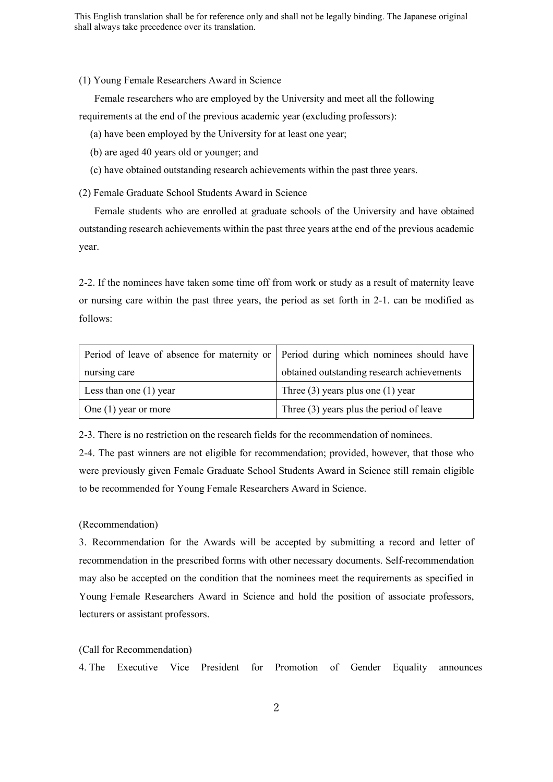#### (1) Young Female Researchers Award in Science

Female researchers who are employed by the University and meet all the following requirements at the end of the previous academic year (excluding professors):

- (a) have been employed by the University for at least one year;
- (b) are aged 40 years old or younger; and
- (c) have obtained outstanding research achievements within the past three years.

(2) Female Graduate School Students Award in Science

Female students who are enrolled at graduate schools of the University and have obtained outstanding research achievements within the past three years at the end of the previous academic year.

2-2. If the nominees have taken some time off from work or study as a result of maternity leave or nursing care within the past three years, the period as set forth in 2-1. can be modified as follows:

| Period of leave of absence for maternity or   Period during which nominees should have |                                            |
|----------------------------------------------------------------------------------------|--------------------------------------------|
| nursing care                                                                           | obtained outstanding research achievements |
| Less than one $(1)$ year                                                               | Three $(3)$ years plus one $(1)$ year      |
| One $(1)$ year or more                                                                 | Three $(3)$ years plus the period of leave |

2-3. There is no restriction on the research fields for the recommendation of nominees.

2-4. The past winners are not eligible for recommendation; provided, however, that those who were previously given Female Graduate School Students Award in Science still remain eligible to be recommended for Young Female Researchers Award in Science.

### (Recommendation)

3. Recommendation for the Awards will be accepted by submitting a record and letter of recommendation in the prescribed forms with other necessary documents. Self-recommendation may also be accepted on the condition that the nominees meet the requirements as specified in Young Female Researchers Award in Science and hold the position of associate professors, lecturers or assistant professors.

# (Call for Recommendation)

4. The Executive Vice President for Promotion of Gender Equality announces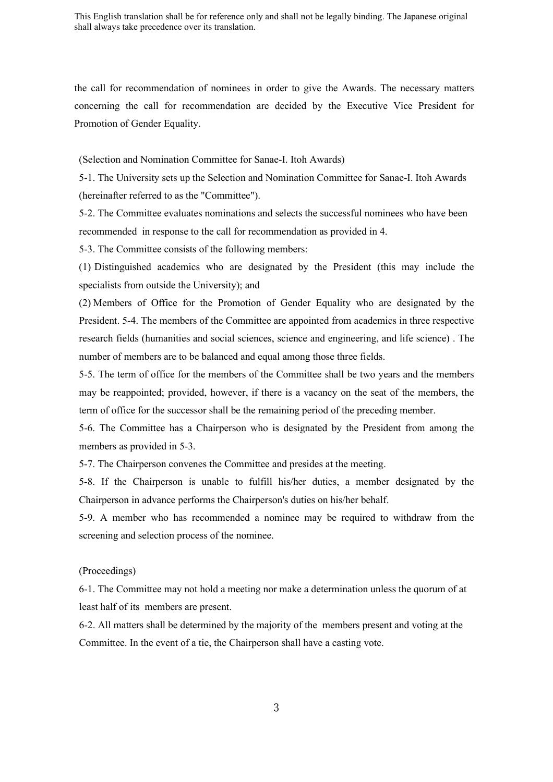the call for recommendation of nominees in order to give the Awards. The necessary matters concerning the call for recommendation are decided by the Executive Vice President for Promotion of Gender Equality.

(Selection and Nomination Committee for Sanae-I. Itoh Awards)

5-1. The University sets up the Selection and Nomination Committee for Sanae-I. Itoh Awards (hereinafter referred to as the "Committee").

5-2. The Committee evaluates nominations and selects the successful nominees who have been recommended in response to the call for recommendation as provided in 4.

5-3. The Committee consists of the following members:

(1) Distinguished academics who are designated by the President (this may include the specialists from outside the University); and

(2) Members of Office for the Promotion of Gender Equality who are designated by the President. 5-4. The members of the Committee are appointed from academics in three respective research fields (humanities and social sciences, science and engineering, and life science) . The number of members are to be balanced and equal among those three fields.

5-5. The term of office for the members of the Committee shall be two years and the members may be reappointed; provided, however, if there is a vacancy on the seat of the members, the term of office for the successor shall be the remaining period of the preceding member.

5-6. The Committee has a Chairperson who is designated by the President from among the members as provided in 5-3.

5-7. The Chairperson convenes the Committee and presides at the meeting.

5-8. If the Chairperson is unable to fulfill his/her duties, a member designated by the Chairperson in advance performs the Chairperson's duties on his/her behalf.

5-9. A member who has recommended a nominee may be required to withdraw from the screening and selection process of the nominee.

(Proceedings)

6-1. The Committee may not hold a meeting nor make a determination unless the quorum of at least half of its members are present.

6-2. All matters shall be determined by the majority of the members present and voting at the Committee. In the event of a tie, the Chairperson shall have a casting vote.

3